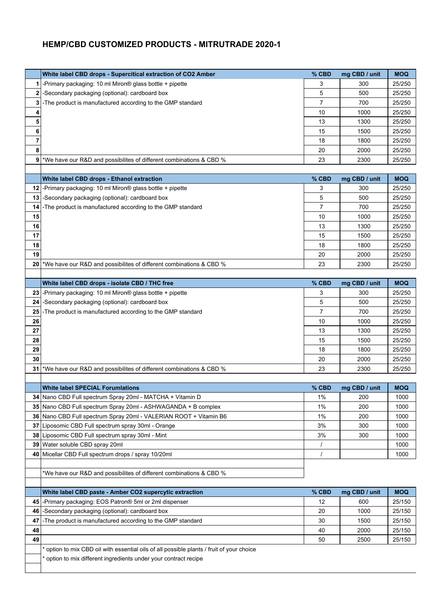## **HEMP/CBD CUSTOMIZED PRODUCTS - MITRUTRADE 2020-1**

|                | White label CBD drops - Supercitical extraction of CO2 Amber                                              | % CBD          | mg CBD / unit        | <b>MOQ</b>           |
|----------------|-----------------------------------------------------------------------------------------------------------|----------------|----------------------|----------------------|
| 1              | -Primary packaging: 10 ml Miron® glass bottle + pipette                                                   | 3              | 300                  | 25/250               |
|                | 2 - Secondary packaging (optional): cardboard box                                                         | 5              | 500                  | 25/250               |
| 3              | -The product is manufactured according to the GMP standard                                                | $\overline{7}$ | 700                  | 25/250               |
| 4              |                                                                                                           | 10             | 1000                 | 25/250               |
| 5              |                                                                                                           | 13             | 1300                 | 25/250               |
| 6              |                                                                                                           | 15             | 1500                 | 25/250               |
| $\overline{7}$ |                                                                                                           | 18             | 1800                 | 25/250               |
| 8              |                                                                                                           | 20             | 2000                 | 25/250               |
| 9              | *We have our R&D and possibilites of different combinations & CBD %                                       | 23             | 2300                 | 25/250               |
|                |                                                                                                           |                |                      |                      |
|                | White label CBD drops - Ethanol extraction<br>12 - Primary packaging: 10 ml Miron® glass bottle + pipette | % CBD<br>3     | mg CBD / unit<br>300 | <b>MOQ</b><br>25/250 |
|                | 13  -Secondary packaging (optional): cardboard box                                                        | 5              | 500                  | 25/250               |
| 14             | -The product is manufactured according to the GMP standard                                                | $\overline{7}$ | 700                  | 25/250               |
| 15             |                                                                                                           | 10             | 1000                 | 25/250               |
| 16             |                                                                                                           | 13             | 1300                 | 25/250               |
| 17             |                                                                                                           | 15             | 1500                 | 25/250               |
| 18             |                                                                                                           | 18             | 1800                 | 25/250               |
| 19             |                                                                                                           | 20             | 2000                 | 25/250               |
| 20             | *We have our R&D and possibilites of different combinations & CBD %                                       | 23             | 2300                 | 25/250               |
|                |                                                                                                           |                |                      |                      |
|                | White label CBD drops - isolate CBD / THC free                                                            | % CBD          | mg CBD / unit        | <b>MOQ</b>           |
| 23             | -Primary packaging: 10 ml Miron® glass bottle + pipette                                                   | 3              | 300                  | 25/250               |
| 24             | -Secondary packaging (optional): cardboard box                                                            | 5              | 500                  | 25/250               |
| 25             | -The product is manufactured according to the GMP standard                                                | $\overline{7}$ | 700                  | 25/250               |
| 26             |                                                                                                           | 10             | 1000                 | 25/250               |
| 27             |                                                                                                           | 13             | 1300                 | 25/250               |
| 28             |                                                                                                           | 15             | 1500                 | 25/250               |
| 29<br>30       |                                                                                                           | 18             | 1800                 | 25/250               |
| 31             | *We have our R&D and possibilites of different combinations & CBD %                                       | 20<br>23       | 2000<br>2300         | 25/250<br>25/250     |
|                |                                                                                                           |                |                      |                      |
|                | <b>White label SPECIAL Forumlations</b>                                                                   | $%$ CBD        | mg CBD / unit        | <b>MOQ</b>           |
|                | 34 Nano CBD Full spectrum Spray 20ml - MATCHA + Vitamin D                                                 | 1%             | 200                  | 1000                 |
|                | 35 Nano CBD Full spectrum Spray 20ml - ASHWAGANDA + B complex                                             | 1%             | 200                  | 1000                 |
|                | 36 Nano CBD Full spectrum Spray 20ml - VALERIAN ROOT + Vitamin B6                                         | 1%             | 200                  | 1000                 |
|                | 37 Liposomic CBD Full spectrum spray 30ml - Orange                                                        | 3%             | 300                  | 1000                 |
| 38             | Liposomic CBD Full spectrum spray 30ml - Mint                                                             | 3%             | 300                  | 1000                 |
|                | 39 Water soluble CBD spray 20ml                                                                           | 1              |                      | 1000                 |
|                | 40 Micellar CBD Full spectrum drops / spray 10/20ml                                                       | $\prime$       |                      | 1000                 |
|                |                                                                                                           |                |                      |                      |
|                | *We have our R&D and possibilites of different combinations & CBD %                                       |                |                      |                      |
|                | White label CBD paste - Amber CO2 supercytic extraction                                                   | % CBD          | mg CBD / unit        | <b>MOQ</b>           |
|                | 45  - Primary packaging: EOS Patron <sup>®</sup> 5ml or 2ml dispenser                                     | 12             | 600                  | 25/150               |
| 46             | -Secondary packaging (optional): cardboard box                                                            | 20             | 1000                 | 25/150               |
| 47             | -The product is manufactured according to the GMP standard                                                | 30             | 1500                 | 25/150               |
| 48             |                                                                                                           | 40             | 2000                 | 25/150               |
| 49             |                                                                                                           | 50             | 2500                 | 25/150               |
|                | option to mix CBD oil with essential oils of all possible plants / fruit of your choice                   |                |                      |                      |
|                | option to mix different ingredients under your contract recipe                                            |                |                      |                      |
|                |                                                                                                           |                |                      |                      |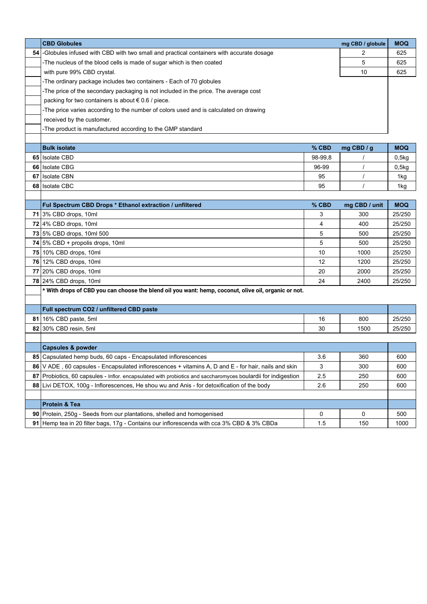|      | <b>CBD Globules</b>                                                                                        |         | mg CBD / globule | <b>MOQ</b> |
|------|------------------------------------------------------------------------------------------------------------|---------|------------------|------------|
| 54   | -Globules infused with CBD with two small and practical containers with accurate dosage                    |         | 2                | 625        |
|      | -The nucleus of the blood cells is made of sugar which is then coated                                      |         | 5                | 625        |
|      | with pure 99% CBD crystal.                                                                                 |         | 10               | 625        |
|      | -The ordinary package includes two containers - Each of 70 globules                                        |         |                  |            |
|      | -The price of the secondary packaging is not included in the price. The average cost                       |         |                  |            |
|      | packing for two containers is about € 0.6 / piece.                                                         |         |                  |            |
|      | -The price varies according to the number of colors used and is calculated on drawing                      |         |                  |            |
|      | received by the customer.                                                                                  |         |                  |            |
|      | -The product is manufactured according to the GMP standard                                                 |         |                  |            |
|      |                                                                                                            |         |                  |            |
|      | <b>Bulk isolate</b>                                                                                        | % CBD   | mg CBD / g       | <b>MOQ</b> |
|      | 65 Isolate CBD                                                                                             | 98-99,8 |                  | 0,5kg      |
|      | 66 Isolate CBG                                                                                             | 96-99   |                  | 0,5kg      |
|      | 67 Isolate CBN                                                                                             | 95      |                  | 1kg        |
|      | 68 Isolate CBC                                                                                             | 95      |                  | 1kg        |
|      |                                                                                                            |         |                  |            |
|      | Ful Spectrum CBD Drops * Ethanol extraction / unfiltered                                                   | % CBD   | mg CBD / unit    | <b>MOQ</b> |
|      | 71 3% CBD drops, 10ml                                                                                      | 3       | 300              | 25/250     |
|      | $72$ 4% CBD drops, 10ml                                                                                    | 4       | 400              | 25/250     |
|      | 73 5% CBD drops, 10ml 500                                                                                  | 5       | 500              | 25/250     |
|      | 74 $5\%$ CBD + propolis drops, 10ml                                                                        | 5       | 500              | 25/250     |
|      | 75 10% CBD drops, 10ml                                                                                     | 10      | 1000             | 25/250     |
|      | 76 12% CBD drops, 10ml                                                                                     | 12      | 1200             | 25/250     |
|      | 77 20% CBD drops, 10ml                                                                                     | 20      | 2000             | 25/250     |
|      | 78 24% CBD drops, 10ml                                                                                     | 24      | 2400             | 25/250     |
|      | * With drops of CBD you can choose the blend oil you want: hemp, coconut, olive oil, organic or not.       |         |                  |            |
|      |                                                                                                            |         |                  |            |
|      | Full spectrum CO2 / unfiltered CBD paste                                                                   |         |                  |            |
|      | 81   16% CBD paste, 5ml                                                                                    | 16      | 800              | 25/250     |
|      | 82 30% CBD resin, 5ml                                                                                      | 30      | 1500             | 25/250     |
|      |                                                                                                            |         |                  |            |
|      | <b>Capsules &amp; powder</b>                                                                               |         |                  |            |
|      | 85 Capsulated hemp buds, 60 caps - Encapsulated inflorescences                                             | 3.6     | 360              | 600        |
|      | 86 V ADE, 60 capsules - Encapsulated inflorescences + vitamins A, D and E - for hair, nails and skin       | 3       | 300              | 600        |
| 87 I | Probiotics, 60 capsules - Inflor. encapsulated with probiotics and saccharomyces boulardii for indigestion | 2.5     | 250              | 600        |
|      | 88 Livi DETOX, 100g - Inflorescences, He shou wu and Anis - for detoxification of the body                 | 2.6     | 250              | 600        |
|      |                                                                                                            |         |                  |            |
|      | Protein & Tea<br>90 Protein, 250g - Seeds from our plantations, shelled and homogenised                    | 0       | 0                | 500        |
|      | 91 Hemp tea in 20 filter bags, 17g - Contains our inflorescenda with cca 3% CBD & 3% CBDa                  | 1.5     | 150              | 1000       |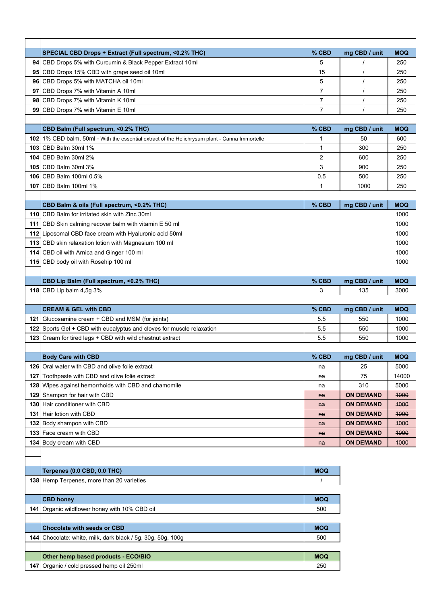|     | SPECIAL CBD Drops + Extract (Full spectrum, <0.2% THC)                                                         | % CBD          | mg CBD / unit    | <b>MOQ</b> |
|-----|----------------------------------------------------------------------------------------------------------------|----------------|------------------|------------|
|     | 94 CBD Drops 5% with Curcumin & Black Pepper Extract 10ml                                                      | 5              | $\prime$         | 250        |
|     | 95 CBD Drops 15% CBD with grape seed oil 10ml                                                                  | 15             | $\prime$         | 250        |
|     | 96 CBD Drops 5% with MATCHA oil 10ml                                                                           | 5              | $\prime$         | 250        |
|     | 97 CBD Drops 7% with Vitamin A 10ml                                                                            | $\overline{7}$ | $\prime$         | 250        |
|     | 98 CBD Drops 7% with Vitamin K 10ml                                                                            | $\overline{7}$ | $\prime$         | 250        |
| 99  | CBD Drops 7% with Vitamin E 10ml                                                                               | $\overline{7}$ | $\prime$         | 250        |
|     |                                                                                                                |                |                  |            |
|     | CBD Balm (Full spectrum, <0.2% THC)                                                                            | % CBD          | mg CBD / unit    | <b>MOQ</b> |
|     | 102 1% CBD balm, 50ml - With the essential extract of the Helichrysum plant - Canna Immortelle                 | 1              | 50               | 600        |
|     | 103 CBD Balm 30ml 1%                                                                                           | 1              | 300              | 250        |
|     | 104 CBD Balm 30ml 2%                                                                                           | $\overline{2}$ | 600              | 250        |
|     | 105 CBD Balm 30ml 3%                                                                                           | 3              | 900              | 250        |
|     | 106   CBD Balm 100ml 0.5%                                                                                      | 0.5            | 500              | 250        |
|     | 107 CBD Balm 100ml 1%                                                                                          | 1              | 1000             | 250        |
|     |                                                                                                                |                |                  |            |
|     | CBD Balm & oils (Full spectrum, <0.2% THC)                                                                     | % CBD          | mg CBD / unit    | <b>MOQ</b> |
|     | 110 CBD Balm for irritated skin with Zinc 30ml                                                                 |                |                  | 1000       |
|     | 111 CBD Skin calming recover balm with vitamin E 50 ml                                                         |                |                  | 1000       |
|     |                                                                                                                |                |                  | 1000       |
|     | 112 Liposomal CBD face cream with Hyaluronic acid 50ml<br>113 CBD skin relaxation lotion with Magnesium 100 ml |                |                  | 1000       |
|     |                                                                                                                |                |                  |            |
|     | 114 CBD oil with Arnica and Ginger 100 ml                                                                      |                |                  | 1000       |
|     | 115 CBD body oil with Rosehip 100 ml                                                                           |                |                  | 1000       |
|     |                                                                                                                |                |                  |            |
|     | CBD Lip Balm (Full spectrum, <0.2% THC)                                                                        | % CBD          | mg CBD / unit    | <b>MOQ</b> |
|     | 118 CBD Lip balm 4,5g 3%                                                                                       | 3              | 135              | 3000       |
|     |                                                                                                                |                |                  |            |
|     |                                                                                                                |                |                  |            |
|     | <b>CREAM &amp; GEL with CBD</b>                                                                                | % CBD          | mg CBD / unit    | <b>MOQ</b> |
|     | 121 Glucosamine cream + CBD and MSM (for joints)                                                               | 5.5            | 550              | 1000       |
|     | 122 Sports Gel + CBD with eucalyptus and cloves for muscle relaxation                                          | 5.5            | 550              | 1000       |
|     | 123 Cream for tired legs + CBD with wild chestnut extract                                                      | 5.5            | 550              | 1000       |
|     |                                                                                                                |                |                  |            |
|     | <b>Body Care with CBD</b>                                                                                      | % CBD          | mg CBD / unit    | <b>MOQ</b> |
|     | 126   Oral water with CBD and olive folie extract                                                              | na             | 25               | 5000       |
| 127 | Toothpaste with CBD and olive folie extract                                                                    | na             | 75               | 14000      |
|     | 128 Wipes against hemorrhoids with CBD and chamomile                                                           | na             | 310              | 5000       |
|     | 129 Shampon for hair with CBD                                                                                  | $A^a$          | <b>ON DEMAND</b> | 4000       |
|     | 130 Hair conditioner with CBD                                                                                  | $na$           | <b>ON DEMAND</b> | 4000       |
|     | 131 Hair lotion with CBD                                                                                       | $A^a$          | <b>ON DEMAND</b> | 1000       |
|     | 132 Body shampon with CBD                                                                                      | $na$           | <b>ON DEMAND</b> | 4000       |
|     | 133 Face cream with CBD                                                                                        | $na$           | <b>ON DEMAND</b> | 4000       |
|     | 134 Body cream with CBD                                                                                        | $A^a$          | <b>ON DEMAND</b> | 4000       |
|     |                                                                                                                |                |                  |            |
|     |                                                                                                                |                |                  |            |
|     | Terpenes (0.0 CBD, 0.0 THC)                                                                                    | <b>MOQ</b>     |                  |            |
|     | 138 Hemp Terpenes, more than 20 varieties                                                                      |                |                  |            |
|     |                                                                                                                |                |                  |            |
|     | <b>CBD honey</b>                                                                                               | <b>MOQ</b>     |                  |            |
| 141 | Organic wildflower honey with 10% CBD oil                                                                      | 500            |                  |            |
|     |                                                                                                                |                |                  |            |
|     | <b>Chocolate with seeds or CBD</b>                                                                             | <b>MOQ</b>     |                  |            |
|     | <b>144</b> Chocolate: white, milk, dark black / 5g, 30g, 50g, 100g                                             | 500            |                  |            |
|     |                                                                                                                |                |                  |            |
|     | Other hemp based products - ECO/BIO                                                                            | <b>MOQ</b>     |                  |            |